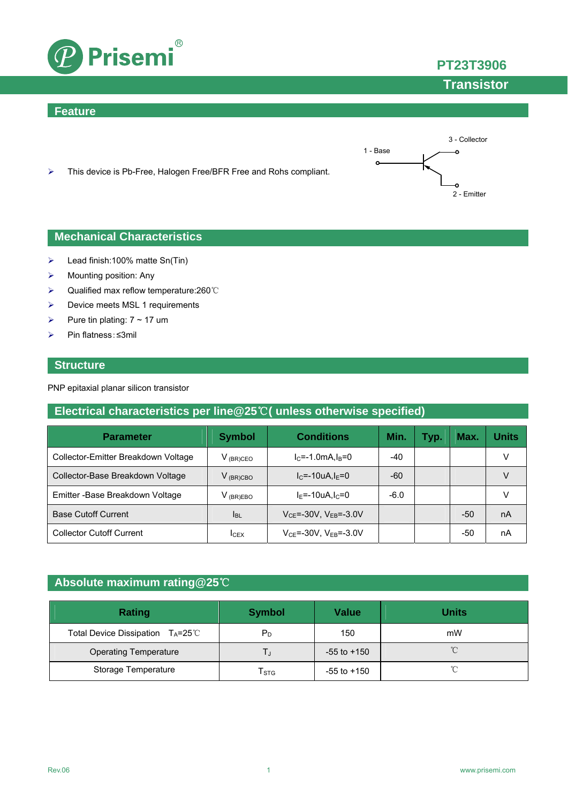

#### **Feature**





- $\blacktriangleright$  Lead finish:100% matte Sn(Tin)
- $\triangleright$  Mounting position: Any
- Qualified max reflow temperature:260℃
- **Device meets MSL 1 requirements**
- Pure tin plating:  $7 \sim 17$  um
- Pin flatness:≤3mil

#### **Structure**

PNP epitaxial planar silicon transistor

### **Electrical characteristics per line@25**℃**( unless otherwise specified)**

| <b>Parameter</b>                    | <b>Symbol</b> | <b>Conditions</b>                  | Min.   | Typ. | Max.  | Units |
|-------------------------------------|---------------|------------------------------------|--------|------|-------|-------|
| Collector-Emitter Breakdown Voltage | $V_{(BR)CEO}$ | $I_C = -1.0$ mA, $I_B = 0$         | $-40$  |      |       |       |
| Collector-Base Breakdown Voltage    | $V_{(BR)CBO}$ | $I_{C} = -10uA I_{F} = 0$          | -60    |      |       |       |
| Emitter - Base Breakdown Voltage    | $V$ (BR)EBO   | $I_F$ =-10uA.I $c$ =0              | $-6.0$ |      |       |       |
| <b>Base Cutoff Current</b>          | <b>I</b> BL   | $V_{CE} = -30V$ , $V_{EB} = -3.0V$ |        |      | $-50$ | nA    |
| <b>Collector Cutoff Current</b>     | <b>ICEX</b>   | $V_{CF} = -30V$ , $V_{FB} = -3.0V$ |        |      | -50   | nA    |

### **Absolute maximum rating@25**℃

| <b>Rating</b>                                | <b>Symbol</b> | <b>Value</b>    | <b>Units</b> |
|----------------------------------------------|---------------|-----------------|--------------|
| Total Device Dissipation $T_A = 25^{\circ}C$ | $P_D$         | 150             | mW           |
| <b>Operating Temperature</b>                 |               | $-55$ to $+150$ | $^{\circ}$   |
| Storage Temperature                          | l stg         | $-55$ to $+150$ | $\sim$       |



**PT23T3906**

**Transistor**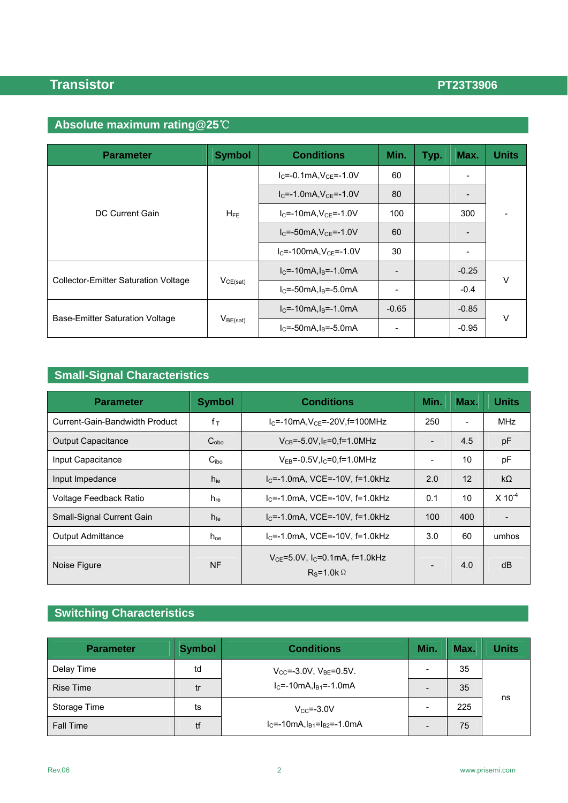## **Transistor PT23T3906**

# **Absolute maximum rating@25**℃

| <b>Parameter</b>                            | <b>Symbol</b> | <b>Conditions</b>               | Min.                     | Typ. | Max.                     | <b>Units</b> |  |
|---------------------------------------------|---------------|---------------------------------|--------------------------|------|--------------------------|--------------|--|
|                                             | $H_{FE}$      | $I_C = -0.1mA, V_{CE} = -1.0V$  | 60                       |      | -                        |              |  |
|                                             |               | $I_C = -1.0mA, V_{CE} = -1.0V$  | 80                       |      | $\overline{\phantom{a}}$ | -            |  |
| DC Current Gain                             |               | $I_{C}$ =-10mA, $V_{CF}$ =-1.0V | 100                      |      | 300                      |              |  |
|                                             |               | $I_C = -50mA, V_{CE} = -1.0V$   | 60                       |      | -                        |              |  |
|                                             |               | $I_C = -100mA, V_{CE} = -1.0V$  | 30                       |      | -                        |              |  |
| <b>Collector-Emitter Saturation Voltage</b> | $V_{CE(sat)}$ | $IC=-10mA, IB=-1.0mA$           |                          |      | $-0.25$                  |              |  |
|                                             |               | $IC=-50mA, IB=-5.0mA$           | $\overline{\phantom{a}}$ |      | $-0.4$                   | $\vee$       |  |
|                                             |               | $IC=-10mA, IB=-1.0mA$           | $-0.65$                  |      | $-0.85$                  |              |  |
| Base-Emitter Saturation Voltage             | $V_{BE(sat)}$ | $lc = -50mA$ . $ls = -5.0mA$    |                          |      | $-0.95$                  | $\vee$       |  |

## **Small-Signal Characteristics**

| <b>Parameter</b>               | <b>Symbol</b>    | <b>Conditions</b>                                                  | Min. | Max. | <b>Units</b> |
|--------------------------------|------------------|--------------------------------------------------------------------|------|------|--------------|
| Current-Gain-Bandwidth Product | $f_{\top}$       | $I_C$ =-10mA, $V_{CF}$ =-20V, f=100MHz                             | 250  |      | <b>MHz</b>   |
| <b>Output Capacitance</b>      | $C_{\rm obo}$    | $V_{CB} = -5.0V, I_F = 0, f = 1.0MHz$                              |      | 4.5  | рF           |
| Input Capacitance              | C <sub>ibo</sub> | $V_{FB}$ =-0.5V.I $c$ =0.f=1.0MHz                                  | -    | 10   | рF           |
| Input Impedance                | $h_{ie}$         | $I_C = -1.0$ mA, VCE=-10V, f=1.0kHz                                | 2.0  | 12   | $k\Omega$    |
| Voltage Feedback Ratio         | $h_{\text{re}}$  | $IC=-1.0mA$ , VCE=-10V, f=1.0kHz                                   | 0.1  | 10   | $X 10^{-4}$  |
| Small-Signal Current Gain      | $h_{\text{fe}}$  | $IC=-1.0mA$ , VCE=-10V, f=1.0kHz                                   | 100  | 400  |              |
| <b>Output Admittance</b>       | $h_{oe}$         | $IC=-1.0mA$ , VCE=-10V, f=1.0kHz                                   | 3.0  | 60   | umhos        |
| Noise Figure                   | <b>NF</b>        | $V_{CF}$ =5.0V, I <sub>C</sub> =0.1mA, f=1.0kHz<br>$Rs=1.0k\Omega$ |      | 4.0  | dB           |

## **Switching Characteristics**

| <b>Parameter</b> | <b>Symbol</b> | <b>Conditions</b>                              | Min.                     | Max. | <b>Units</b> |
|------------------|---------------|------------------------------------------------|--------------------------|------|--------------|
| Delay Time       | td            | $V_{\text{CC}}$ =-3.0V, $V_{\text{BE}}$ =0.5V. |                          | 35   |              |
| <b>Rise Time</b> | tr            | $IC=-10mA, IB1=-1.0mA$                         | $\overline{\phantom{0}}$ | 35   |              |
| Storage Time     | ts            | $V_{CC} = -3.0V$                               |                          | 225  | ns           |
| <b>Fall Time</b> | tf            | $IC=-10mA, IB1=IB2=-1.0mA$                     |                          | 75   |              |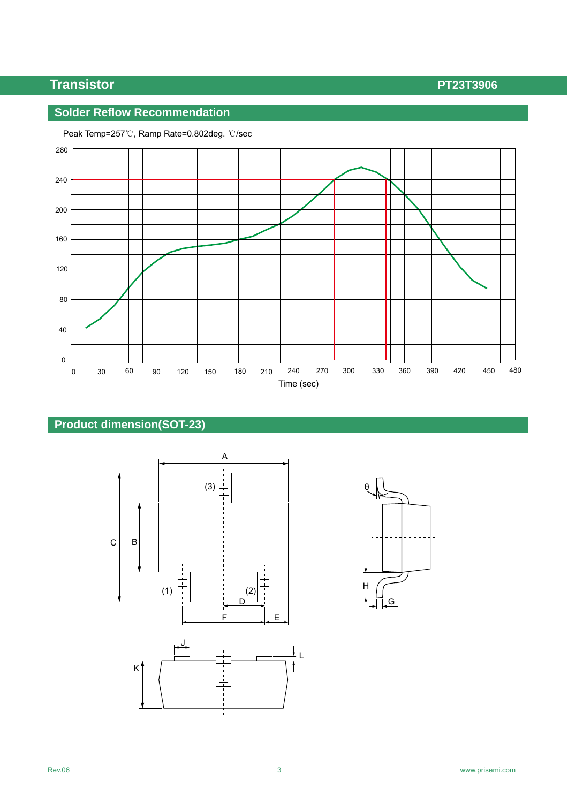## **Transistor PT23T3906**

### **Solder Reflow Recommendation**



Peak Temp=257℃, Ramp Rate=0.802deg. ℃/sec

## **Product dimension(SOT-23)**



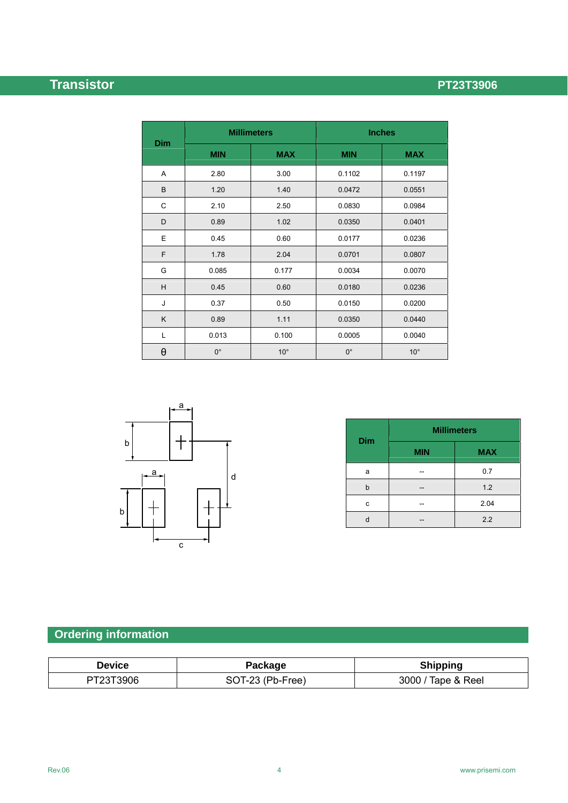# **Transistor PT23T3906**

|            | <b>Millimeters</b> |              | <b>Inches</b> |              |  |
|------------|--------------------|--------------|---------------|--------------|--|
| <b>Dim</b> | <b>MIN</b>         | <b>MAX</b>   | <b>MIN</b>    | <b>MAX</b>   |  |
| A          | 2.80               | 3.00         | 0.1102        | 0.1197       |  |
| B          | 1.20               | 1.40         | 0.0472        | 0.0551       |  |
| C          | 2.10               | 2.50         | 0.0830        | 0.0984       |  |
| D          | 0.89               | 1.02         | 0.0350        | 0.0401       |  |
| Ε          | 0.45               | 0.60         | 0.0177        | 0.0236       |  |
| F          | 1.78               | 2.04         | 0.0701        | 0.0807       |  |
| G          | 0.085              | 0.177        | 0.0034        | 0.0070       |  |
| H          | 0.45               | 0.60         | 0.0180        | 0.0236       |  |
| J          | 0.37               | 0.50         | 0.0150        | 0.0200       |  |
| K          | 0.89               | 1.11         | 0.0350        | 0.0440       |  |
| Г          | 0.013              | 0.100        | 0.0005        | 0.0040       |  |
| θ          | $0^{\circ}$        | $10^{\circ}$ | $0^{\circ}$   | $10^{\circ}$ |  |



| <b>Dim</b> | <b>Millimeters</b> |            |  |  |
|------------|--------------------|------------|--|--|
|            | <b>MIN</b>         | <b>MAX</b> |  |  |
| a          |                    | 0.7        |  |  |
| h          |                    | 1.2        |  |  |
| c          |                    | 2.04       |  |  |
|            |                    | 2.2        |  |  |

# **Ordering information**

| <b>Device</b> | Package          | <b>Shipping</b>    |
|---------------|------------------|--------------------|
| PT23T3906     | SOT-23 (Pb-Free) | 3000 / Tape & Reel |